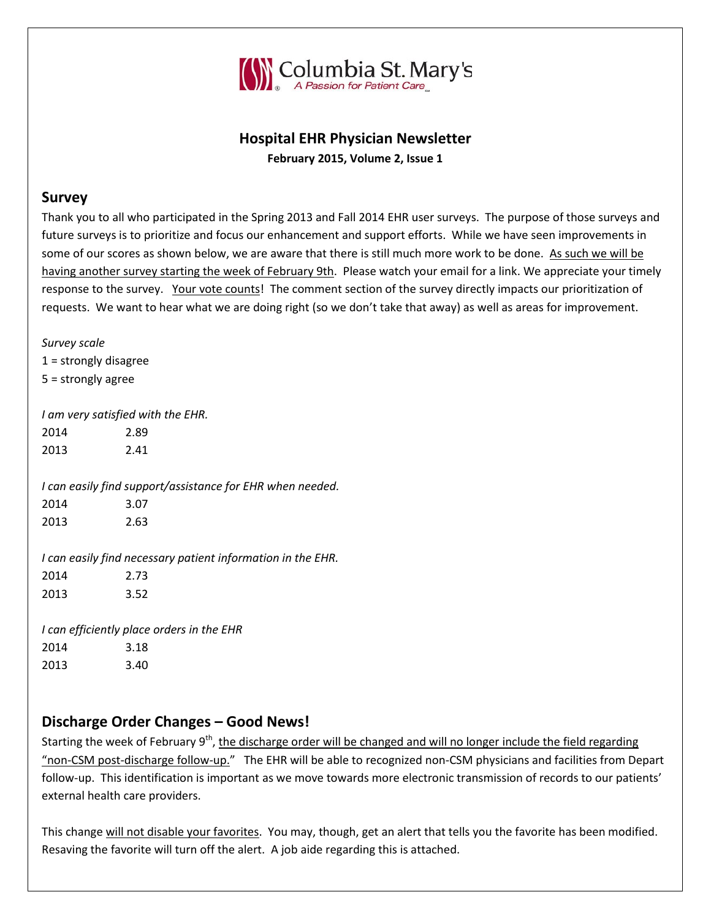

# **Hospital EHR Physician Newsletter**

**February 2015, Volume 2, Issue 1**

#### **Survey**

Thank you to all who participated in the Spring 2013 and Fall 2014 EHR user surveys. The purpose of those surveys and future surveys is to prioritize and focus our enhancement and support efforts. While we have seen improvements in some of our scores as shown below, we are aware that there is still much more work to be done. As such we will be having another survey starting the week of February 9th. Please watch your email for a link. We appreciate your timely response to the survey. Your vote counts! The comment section of the survey directly impacts our prioritization of requests. We want to hear what we are doing right (so we don't take that away) as well as areas for improvement.

*Survey scale*  $1 =$ strongly disagree 5 = strongly agree *I am very satisfied with the EHR.* 2014 2.89 2013 2.41 *I can easily find support/assistance for EHR when needed.* 2014 3.07 2013 2.63 *I can easily find necessary patient information in the EHR.* 2014 2.73 2013 3.52 *I can efficiently place orders in the EHR* 2014 3.18 2013 3.40

# **Discharge Order Changes – Good News!**

Starting the week of February 9<sup>th</sup>, <u>the discharge order will be changed and will no longer include the field regarding</u> "non-CSM post-discharge follow-up." The EHR will be able to recognized non-CSM physicians and facilities from Depart follow-up. This identification is important as we move towards more electronic transmission of records to our patients' external health care providers.

This change will not disable your favorites. You may, though, get an alert that tells you the favorite has been modified. Resaving the favorite will turn off the alert. A job aide regarding this is attached.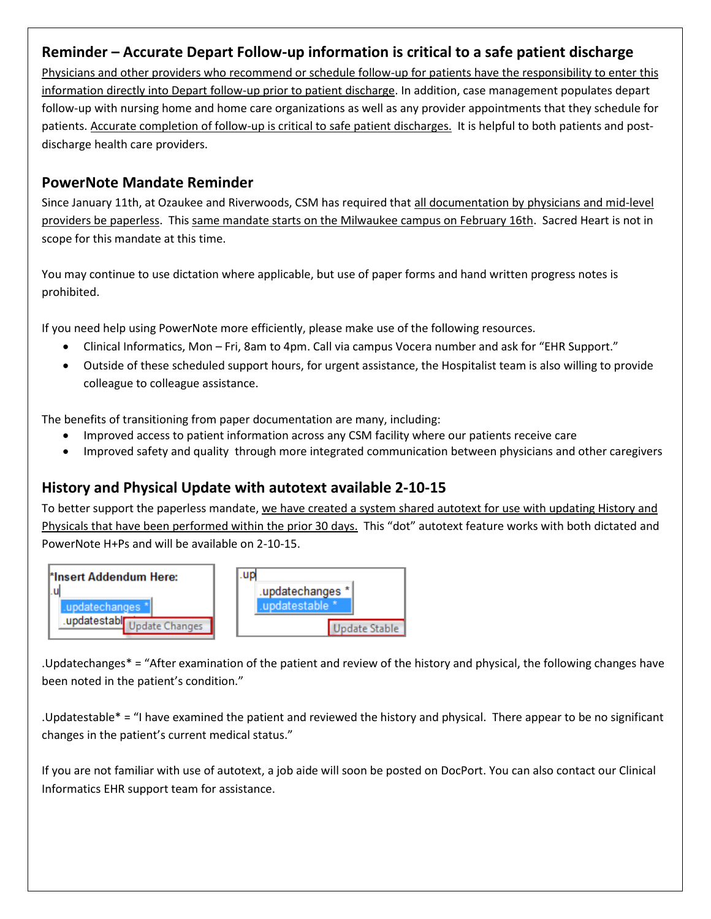## **Reminder – Accurate Depart Follow-up information is critical to a safe patient discharge**

Physicians and other providers who recommend or schedule follow-up for patients have the responsibility to enter this information directly into Depart follow-up prior to patient discharge. In addition, case management populates depart follow-up with nursing home and home care organizations as well as any provider appointments that they schedule for patients. Accurate completion of follow-up is critical to safe patient discharges. It is helpful to both patients and postdischarge health care providers.

#### **PowerNote Mandate Reminder**

Since January 11th, at Ozaukee and Riverwoods, CSM has required that all documentation by physicians and mid-level providers be paperless. This same mandate starts on the Milwaukee campus on February 16th. Sacred Heart is not in scope for this mandate at this time.

You may continue to use dictation where applicable, but use of paper forms and hand written progress notes is prohibited.

If you need help using PowerNote more efficiently, please make use of the following resources.

- Clinical Informatics, Mon Fri, 8am to 4pm. Call via campus Vocera number and ask for "EHR Support."
- Outside of these scheduled support hours, for urgent assistance, the Hospitalist team is also willing to provide colleague to colleague assistance.

The benefits of transitioning from paper documentation are many, including:

- Improved access to patient information across any CSM facility where our patients receive care
- Improved safety and quality through more integrated communication between physicians and other caregivers

### **History and Physical Update with autotext available 2-10-15**

To better support the paperless mandate, we have created a system shared autotext for use with updating History and Physicals that have been performed within the prior 30 days. This "dot" autotext feature works with both dictated and PowerNote H+Ps and will be available on 2-10-15.



.Updatechanges\* = "After examination of the patient and review of the history and physical, the following changes have been noted in the patient's condition."

.Updatestable\* = "I have examined the patient and reviewed the history and physical. There appear to be no significant changes in the patient's current medical status."

If you are not familiar with use of autotext, a job aide will soon be posted on DocPort. You can also contact our Clinical Informatics EHR support team for assistance.